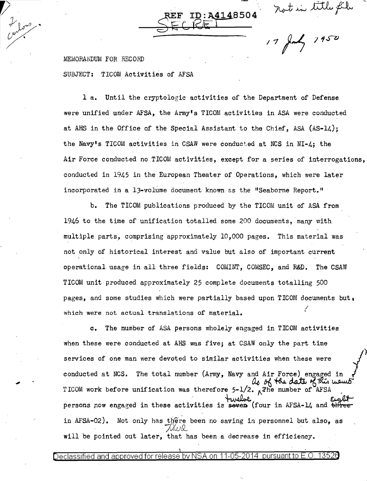not in title file<br>17 July 1950

MEMORANDUM FOR RECORD SUBJECT: TICOM Activities of AFSA

L fors

**1** a. Until the cryptologic activities of the Department of Defense were unified under AFSA, the Army• s TICOM activities in ASA were conducted at AHS in the Office of the Special Assistant to the Chief, ASA (As-14.); the Navy's TICOM activities in CSAW were conducted at NCS in NI-4; the Air Force conducted no TICOM activities, except for a series of interrogations, conducted in 1945 in the European Theater of Operations, which were later incorporated in a 13-volume document known as the "Seaborne Report."

4148504

b. The TICOM publications produced by the TICOM unit of ASA from 1946 to the time of unification totalled some 200 documents, many with multiple parts, comprising approximately 10,000 pages. This material was not only of historical interest and value but also of important current operational usage in all three fields: COMINT, COMSEC, and R&D. The CSAW TICOM unit produced approximately 25 complete documents totalling 500 pages, and some studies which were partially based upon TICOM documents but, which were not actual translations of material. ,/ I

**c.** The number of ASA persons wholely engaged in TICOM activities when these were conducted at AHS was five; at CSAW only the part time services of one man were devoted to similar activities when these were conducted at NCS. The total number (Army, Navy and Air Force) engaged in<br> $\mu_0$  of the date of this means TICOM work before unification was therefore  $5-1/2$ .  $\pi$ The number of AFSA therefore  $5-1/2$ . The number of AFSA<br>twelve<br>the twelve form in AFSA 11 and Etglet persons now engaged in these activities is seven (four in AFSA-14 and  $\theta$  )  $\theta$ in AFSA-02). Not only has there been no saving in personnel but also, as  $\sqrt{2}$ ya $\infty$ will be pointed out later, that has been a decrease in efficiency.

Declassified and approved for release by NSA on 11-05-2014 pursuant to

1 .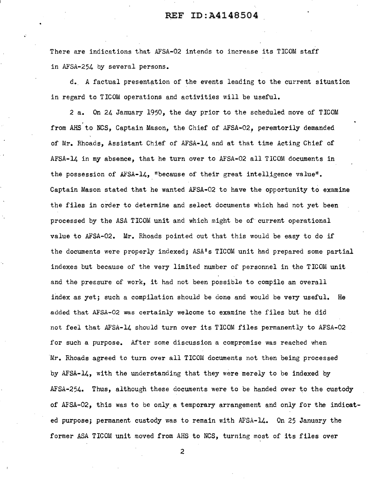There are indications that AFSA-02 intends to increase its TICOM staff in AFSA-254 by several persons.

d. A factual presentation of the events leading to the current situation in regard to TICOM operations and activities will be useful.

2 a. On 24 January 1950, the day prior to the scheduled move of TICOM from AHS to NCS, Captain Mason, the Chief of AFSA-02, peremtorily demanded of Mr. Rhoads, Assistant Chief of AFSA-14 and at that time Acting Chief of AFSA-14 in my absence, that he turn over to AFSA-02 all TICOM documents in the possession of AFSA-14, "because of their great intelligence value". Captain Mason stated that he wanted AFSA-02 to have the opportunity to examine the files in order to determine and select documents which had not yet been processed by the ASA TICOM unit and which might be of current operational value to AFSA-02. Mr. Rhoads pointed out that this would be easy to do if the documents were properly indexed; ASA's TICOM unit had prepared some partial indexes but because of the very limited number of personnel in the TICOM unit and the pressure of work, it had not been possible to compile an overall index as yet; such a compilation should be done and would be very useful. He added that AFSA-02 was certainly welcome to examine the files but he did not feel that AF'SA-14 should turn over its TICOM files permanently to AFSA-02 for such a purpose. After some discussion a compromise was reached when Mr. Rhoads agreed to turn over all TICOM documents not then being processed by AFSA-14, with the understanding that they were merely to be indexed by AFSA-254. Thus, although these documents were to be handed over to the custody of AFSA-02, this was to be only. a temporary arrangement and only for the indicated purpose; permanent custody was to remain with AFSA-14. On 25 January the former ASA TICOM unit moved from AHS to NCS, turning most of its files over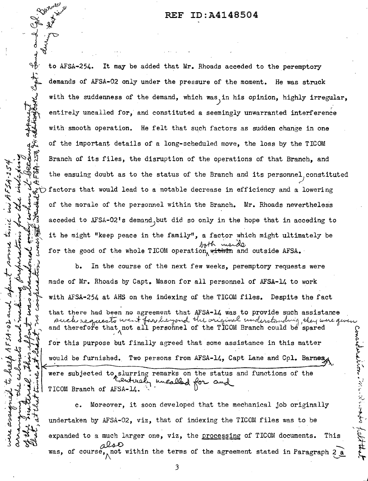$~\mathcal{D}^{\mathcal{W}^{\mathcal{W}^{\bullet}}}$   $\mathcal{Y}^{\mathcal{W}^{\mathcal{W}^{\bullet}}}$ 

 $\mathcal{F}^{\mathcal{F}}$   $\mathcal{A}^{\mathcal{F}}$ 

**1t** cure<br>11tionate

 $\mathcal{F} \rightarrow \mathcal{F}$ 

 $+$   $\frac{1}{2}$   $\frac{1}{2}$ 

 $\sim$   $2^{\circ}$   $\sim$   $\sim$ 

 $^{9}$  +  $^{1}$   $^{1}$ 

r~)~,

 $\frac{f^2}{f^2}$ <br>  $\frac{f^3}{f^2}$ to AFSA-254. It may be added that Mr. Rhoads acceded to the peremptory demands of AFSA-02 only under the pressure of the moment. He was struck with the suddenness of the demand, which was in his opinion, highly irregular, entirely uncalled for, and constituted a seemingly unwarranted interference with smooth operation. He felt that such factors as sudden change in one of the important details of a long-scheduled move, the loss by the TICOM Branch of its files, the disruption of the operations of that Branch, and the ensuing doubt as to the status of the Branch and its personnel constituted factors that would lead to a notable decrease in efficiency and a lowering acceded to AFSA-02's demand but did so only in the hope that in acceding to ~~1l *t 5* <sup>~</sup> of the morale of the personnel within the Branch. Mr. Rhoads nevertheless it he might "keep peace in the family", a factor which might ultimately be for the good of the whole TICOM operation, with mand outside AFSA.

b. In the course of the next few weeks, peremptory requests were made of Mr. Rhoads by Capt. Mason for all personnel of AFSA-14 to work<br>with AFSA-254 at AHS on the indexing of the TICOM files. Despite the fact<br>at the second been no agreement that AFSA-14 was to provide such assistance such requests went far he you the wriginal understanding, they were given and therefore that not all personnel of the TICOM Branch could be spared would be furnished. Two persons from AFSA-14, Capt Lane and Cpl. Barnes were subjected to slurring remarks on the status and functions of the Tenturaly unealled for and Romania<br>Lindam<br>Chattleberg<br>Chattleberg  $\frac{1}{2}$ for this purpose but finally agreed that some assistance in this matter

 $\bm{\xi}$  $\sum\limits_{i=1}^N$ ~

r·

لمذكوب<br>كان

dthe de la de la de la de la de la de la de la de la de la de la de la de la de la de la de la de la de la de<br>La de la de la de la de la de la de la de la de la de la de la de la de la de la de la de la de la de la de l<br>La c. Moreover, it soon developed that the mechanical job originally undertaken by AFSA-02, viz, that of indexing the TICOM files was to be expanded to a much larger one, viz, the processing of TICOM documents. This expanded to a much larger one, viz, the <u>processing</u> of TICOM documents. This also course, not within the terms of the agreement stated in Paragraph 2 a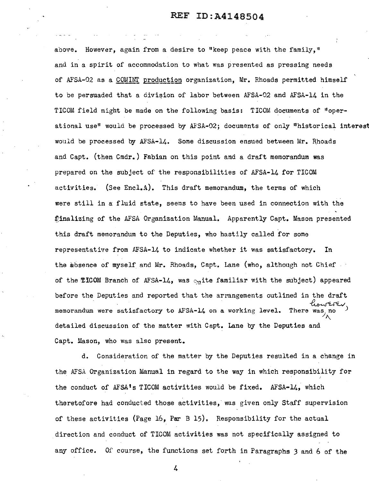above. However, again from a desire to "keep peace with the family," and in a spirit of accommodation to what was presented as pressing needs of AFSA-02 as a COMINT production organization, Mr. Rhoads permitted himself to be persuaded that a division of labor between AFSA-02 and AFSA-14 in the TICOM field might be made on the following basis: TICOM documents of "operational use" would be processed by AFSA-02; documents of only "historical interest would be processed by AFSA-14. Some discussion ensued between Mr. Rhoads and Capt. (then Cmdr.) Fabian on this point and a draft memorandum was prepared on the subject of the responsibilities of AFSA-14 for TICOM activities. (See Encl.A). This draft memorandum, the terms of which were still in a fluid state, seems to have been used in connection with the finalizing of the AFSA Organization Manual. Apparently Capt. Mason presented this draft memorandum to the Deputies, who hastily called for some representative from AFSA-14 to indicate whether it was satisfactory. In the absence of myself and Mr. Rhoads, Capt. Lane (who, although not Chief of the **TICOM** Branch of AFSA-14, was  $_{11}$ ite familiar with the subject) appeared before the Deputies and reported that the arrangements outlined in the draft t) appeared<br>the draft<br>towerey<br>was, no memorandum were satisfactory to AFSA-14 on a working level. There was, no *I\*  detailed discussion of the matter with Capt. Lane by the Deputies and Capt. Mason, who was also present.

d. Consideration of the matter by the Deputies resulted in a change in the AFSA Organization Manual in regard to the way in which responsibility for the conduct of AFSA's TICOM activities would be fixed. AFSA-14, which theretofore had conducted those activities, was given only Staff supervision of these activities (Page 16, Par B 15). Responsibility for the actual direction and conduct of TICOM activities was not specifically assigned to any office. Of course, the functions set forth in Paragraphs *3* and 6 of the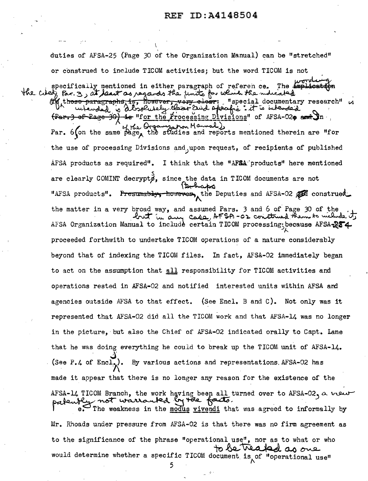duties of AFSA-25 (Page 30 of the Organization Manual) can be "stretched" or construed to include TICOM activities; but the word TICOM is not specifically mentioned in either paragraph of reference. The implication the cited, Par. 3, at least as regards the finits for which the indicated on those paragraphs, is, however, very elect: "special documentary research" a utended a dissolutely class and apeafic : it is intended  $\frac{1}{2}$  of Page 30) is "for the Processing Divisions" of AFSA-020 and In. Par. 6 fon the same page the studies and reports mentioned therein are "for the use of processing Divisions and upon request, of recipients of published AFSA products as required". I think that the "AFSA products" here mentioned are clearly COMINT decrypts, since the data in TICOM documents are not 12 haps "AFSA products". Presumably, however, the Deputies and AFSA-02 and construed. the matter in a very broad way, and assumed Pars. 3 and 6 of Page 30 of the but in any case, AFSA-02 construed them to welled its AFSA Organization Manual to include certain TICOM processing because AFSA-284 proceeded forthwith to undertake TICOM operations of a nature considerably beyond that of indexing the TICOM files. In fact, AFSA-02 immediately began to act on the assumption that all responsibility for TICOM activities and operations rested in AFSA-02 and notified interested units within AFSA and agencies outside AFSA to that effect. (See Encl. B and C). Not only was it represented that AFSA-02 did all the TICOM work and that AFSA-14 was no longer in the picture, but also the Chief of AFSA-02 indicated orally to Capt. Lane that he was doing everything he could to break up the TICOM unit of AFSA-14. (See  $P_{\bullet}4$  of  $Encl_{\bullet}$ ). By various actions and representations. AFSA-02 has made it appear that there is no longer any reason for the existence of the AFSA-14 TICOM Branch, the work having been all turned over to AFSA-02, a wear palently not warranted by the facts.<br>I e. The weakness in the modus vivendi that was agreed to informally by Mr. Rhoads under pressure from AFSA-02 is that there was no firm agreement as to the significance of the phrase "operational use", nor as to what or who would determine whether a specific TICOM document is of "operational use"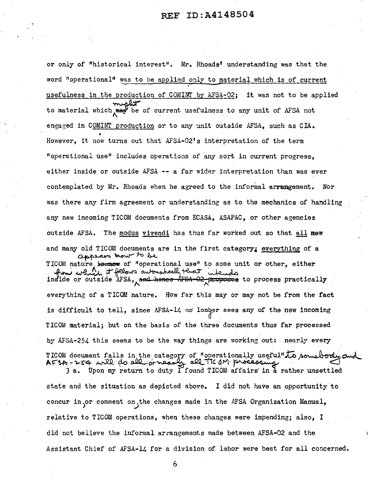or only of "historical interest". Mr. Rhoads' understanding was that the word "operational" was to be applied only to material which is of current usefulness in the production of COMINT by AFSA-02; it was not to be applied to material which may be of current usefulness to any unit of AFSA not engaged in COMINT production or to any unit outside AFSA, such as CIA. However, it now turns out that AFSA-02's interpretation of the term "operational use" includes operations of any sort in current progress. either inside or outside AFSA -- a far wider interpretation than was ever contemplated by Mr. Rhoads when he agreed to the informal arrangement. Nor was there any firm agreement or understanding as to the mechanics of handling any new incoming TICOM documents from ECASA, ASAPAC, or other agencies outside AFSA. The modus vivendi has thus far worked out so that all now and many old TICOM documents are in the first category; everything of a appears mour to be TICOM nature is now of "operational use" to some unit or other, either from which it fellows automatically terain inside or outside AFSA, and hence AFSA-02 proposes to process practically everything of a TICOM nature. How far this may or may not be from the fact is difficult to tell, since AFSA-14 no lonoer sees any of the new incoming TICOM material; but on the basis of the three documents thus far processed by AFSA-254 this seems to be the way things are working out: nearly every TICOM document falls in the category of "operationally useful" to some body on - all TIC AM processing AFSA-254 will do all arnear  $3a.$  Upon my return to duty I found TICOM affairs in a rather unsettled

state and the situation as depicted above. I did not have an opportunity to concur in or comment on the changes made in the AFSA Organization Manual, relative to TICOM operations, when these changes were impending; also, I did not believe the informal arrangements made between AFSA-02 and the Assistant Chief of AFSA-14 for a division of labor were best for all concerned.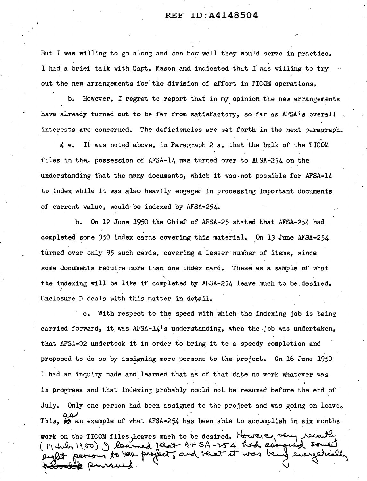But I was willing to go along and see how well they would serve in practice. I had a brief talk with Capt. Mason and indicated that I was willing to try out the new arrangements for the division of effort in TICOM operations.

b. However, I regret to report that in my opinion the new arrangements have already turned out to be far from satisfactory, so far as AFSA's overall interests are concerned. The deficiencies are set forth in the next paragraph.

4 a. It was noted above, in Paragraph 2 a, that the bulk of the TICOM files in the possession of AFSA-14 was turned over to AFSA-254 on the understanding that the many documents, which it was not possible for AFSA-14 to index while it was also heavily engaged in processing important documents of current value, would be indexed by AFSA-254.

b. On 12 June 1950 the Chief of AFSA-25 stated that AFSA-254 had completed some 350 index cards covering this material. On 13 June AFSA-254 turned over only 95 such cards, covering a lesser number of items, since some documents require more than one index card. These as a sample of what the indexing will be like if completed by AFSA-254 leave much to be desired. Enclosure D deals with this matter in detail.

c. With respect to the speed with which the indexing job is being carried forward, it was AFSA-14's understanding, when the .job was undertaken, that AFSA-02 undertook it in order to bring it to a speedy completion and proposed to do so by assigning more persons to the project. On 16 June 1950 I had an inquiry made and learned that as of that date no work whatever was in progress and that indexing probably could not be resumed before the end of. July. Only one person had been assigned to the project and was going on leave. as an example of what AFSA-254 has been able to accomplish in six months work on the TICOM files, leaves much to be desired. Howere, very recently vork on the TICOM files, leaves much to be desired. Howered very recently.<br>(17 July 1950) I learned that AFSA-254 had assigned somed.<br>eight person to the project, and that it was being energetically patrick pursued.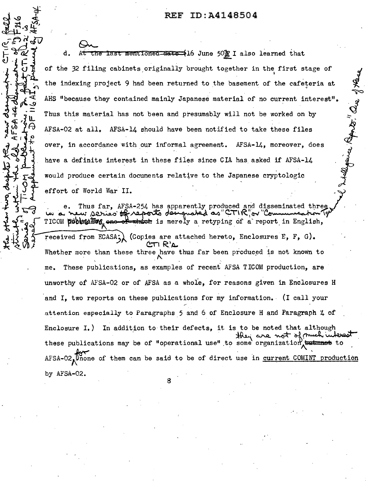ato. aw Ju

 $Qn$ d. At the last mentioned-date (16 June 50) I also learned that of the 32 filing cabinets originally brought together in the first stage of the indexing project 9 had been returned to the basement of the cafeteria at AHS "because they contained mainly Japanese material of no current interest". Thus this material has not been and presumably will not be worked on by  $AFSA-O2$  at all. AFSA-14 should have been notified to take these files over, in accordance with our informal agreement. AFSA-14, moreover, does have a definite interest in these files since CIA has asked if AFSA-14 ' would produce certain documents relative to the Japanese cryptologic would produce certain documents relative to the Japanese cryptologic<br>effort of World War II.<br>e. Thus far, AFSA-254 has apparently produced and disseminated three<br>www.series of reports does noted as CTIR, or "Communication

TICOM **poblue Tog**, ene of which is merely a retyping of a report in English, received from ECASA; (Copies are attached hereto, Enclosures E, F, G). **V.L.I B** Whether more than these three have thus far been produced is not known to me. These publications, as examples of recent. AFSA TICOM production, are unworthy of AFSA-02 or of AFSA as a whoie, for reasons given in Enclosures H and I, two reports on these publications for my information. (I call your attention especially to Paragraphs 5 and 6 of Enclosure H and Paragraph 4 of Enclosure I.) In addition to their defects, it is to be noted that although these publications may be of "operational use" to some organization.  $AFSA-02$ . Onone of them can be said to be of direct use in current COMINT production by AFSA-02.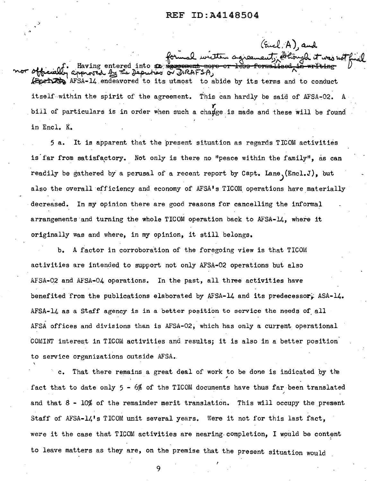$(kil, A)$  and

formal written agreement, Athoryle it was not nor officially approved officially approved by the Deputies of DIRAFSA,<br>Afficially approved by the Deputies or DIRAFSA,<br>Esperant AFSA-14 endeavored to its utmost to abide by its terms and to conduct approved by the Deputies of DIRAFSA,<br>AFSA-14 endeavored to its utmost to abide by its terms and to conduct itself within the spirit of the agreement. This can hardly be said of AFSA-02. A bill of particulars is in order when such a change is made and these will be found in Encl. K.

5 a. It is apparent that the present situation as regards TICOM activities is far from satisfactory. Not only is there no "peace within the family", as can readily be gathered by a perusal of a recent report by Capt. Lane,  $(Enc1.J)$ , but also the overall efficiency and economy of AFSA's TICOM operations have materially decreased. In my opinion there are good reasons for cancelling the informal arrangements and turning the whole TICOM operation back to AFSA-14, where it originally was and where, in my opinion, it still belongs.

b. A factor in corroboration of the foregoing view is that TICOM activities are intended to support not only AFSA-02 operations but also AFSA-02 and AFSA-04 operations. In the past, all three activities have benefited from the publications elaborated by AFSA-14 and its predecessor. ASA-14. AFSA-14 as a Staff agency is in a better position to service the needs of all AFSA offices and divisions than is AFSA-02, which has only a current operational COMINT interest in TICOM activities and results; it is also in a better position to service organizations outside AFSA.

c. That there remains a great deal of work to be done is indicated by the fact that to date only 5 - 6% of the TICOM documents have thus far been translated and that 8 - 10% of the remainder merit translation. This will occupy the present Staff of AFSA-14's TICOM unit several years. Were it not for this last fact, were it the case that TICOM activities are nearing completion, I would be content to leave matters as they are, on the premise that the present situation would